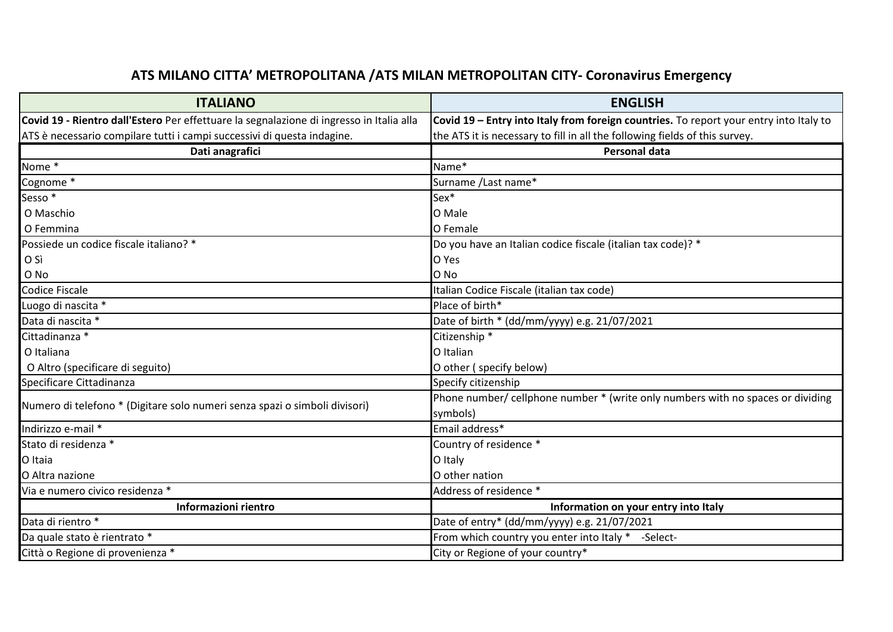## **ATS MILANO CITTA' METROPOLITANA /ATS MILAN METROPOLITAN CITY- Coronavirus Emergency**

| <b>ITALIANO</b>                                                                          | <b>ENGLISH</b>                                                                         |
|------------------------------------------------------------------------------------------|----------------------------------------------------------------------------------------|
| Covid 19 - Rientro dall'Estero Per effettuare la segnalazione di ingresso in Italia alla | Covid 19 - Entry into Italy from foreign countries. To report your entry into Italy to |
| ATS è necessario compilare tutti i campi successivi di questa indagine.                  | the ATS it is necessary to fill in all the following fields of this survey.            |
| Dati anagrafici                                                                          | <b>Personal data</b>                                                                   |
| Nome *                                                                                   | Name*                                                                                  |
| Cognome <sup>*</sup>                                                                     | Surname / Last name*                                                                   |
| Sesso <sup>*</sup>                                                                       | $Sex*$                                                                                 |
| O Maschio                                                                                | O Male                                                                                 |
| O Femmina                                                                                | O Female                                                                               |
| Possiede un codice fiscale italiano? *                                                   | Do you have an Italian codice fiscale (italian tax code)? *                            |
| O Sì                                                                                     | O Yes                                                                                  |
| O No                                                                                     | O No                                                                                   |
| Codice Fiscale                                                                           | Italian Codice Fiscale (italian tax code)                                              |
| Luogo di nascita *                                                                       | Place of birth*                                                                        |
| Data di nascita *                                                                        | Date of birth * (dd/mm/yyyy) e.g. 21/07/2021                                           |
| Cittadinanza *                                                                           | Citizenship <sup>*</sup>                                                               |
| O Italiana                                                                               | O Italian                                                                              |
| O Altro (specificare di seguito)                                                         | O other (specify below)                                                                |
| Specificare Cittadinanza                                                                 | Specify citizenship                                                                    |
| Numero di telefono * (Digitare solo numeri senza spazi o simboli divisori)               | Phone number/ cellphone number * (write only numbers with no spaces or dividing        |
|                                                                                          | symbols)                                                                               |
| Indirizzo e-mail *                                                                       | Email address*                                                                         |
| Stato di residenza *                                                                     | Country of residence *                                                                 |
| O Itaia                                                                                  | O Italy                                                                                |
| O Altra nazione                                                                          | O other nation                                                                         |
| Via e numero civico residenza *                                                          | Address of residence *                                                                 |
| Informazioni rientro                                                                     | Information on your entry into Italy                                                   |
| Data di rientro *                                                                        | Date of entry* (dd/mm/yyyy) e.g. 21/07/2021                                            |
| Da quale stato è rientrato *                                                             | From which country you enter into Italy * -Select-                                     |
| Città o Regione di provenienza *                                                         | City or Regione of your country*                                                       |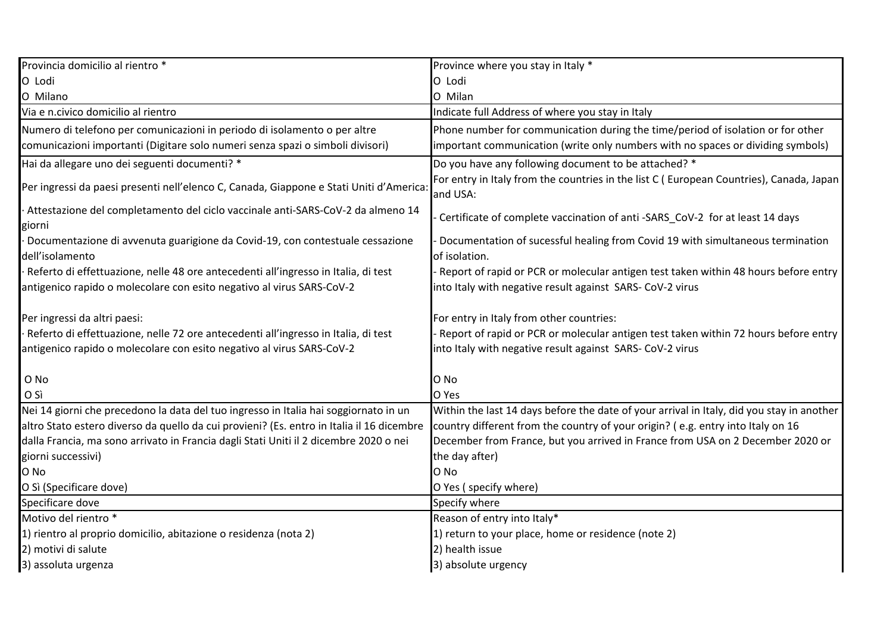| Provincia domicilio al rientro *                                                                                                                            | Province where you stay in Italy *                                                                                                               |
|-------------------------------------------------------------------------------------------------------------------------------------------------------------|--------------------------------------------------------------------------------------------------------------------------------------------------|
| O Lodi                                                                                                                                                      | O Lodi                                                                                                                                           |
| O Milano                                                                                                                                                    | O Milan                                                                                                                                          |
| Via e n.civico domicilio al rientro                                                                                                                         | Indicate full Address of where you stay in Italy                                                                                                 |
| Numero di telefono per comunicazioni in periodo di isolamento o per altre                                                                                   | Phone number for communication during the time/period of isolation or for other                                                                  |
| comunicazioni importanti (Digitare solo numeri senza spazi o simboli divisori)                                                                              | important communication (write only numbers with no spaces or dividing symbols)                                                                  |
| Hai da allegare uno dei seguenti documenti? *                                                                                                               | Do you have any following document to be attached? *                                                                                             |
| Per ingressi da paesi presenti nell'elenco C, Canada, Giappone e Stati Uniti d'America:                                                                     | For entry in Italy from the countries in the list C (European Countries), Canada, Japan<br>and USA:                                              |
| Attestazione del completamento del ciclo vaccinale anti-SARS-CoV-2 da almeno 14<br>giorni                                                                   | Certificate of complete vaccination of anti -SARS_CoV-2 for at least 14 days                                                                     |
| Documentazione di avvenuta guarigione da Covid-19, con contestuale cessazione<br>dell'isolamento                                                            | Documentation of sucessful healing from Covid 19 with simultaneous termination<br>of isolation.                                                  |
| Referto di effettuazione, nelle 48 ore antecedenti all'ingresso in Italia, di test<br>antigenico rapido o molecolare con esito negativo al virus SARS-CoV-2 | Report of rapid or PCR or molecular antigen test taken within 48 hours before entry<br>into Italy with negative result against SARS- CoV-2 virus |
| Per ingressi da altri paesi:                                                                                                                                | For entry in Italy from other countries:                                                                                                         |
| Referto di effettuazione, nelle 72 ore antecedenti all'ingresso in Italia, di test                                                                          | Report of rapid or PCR or molecular antigen test taken within 72 hours before entry                                                              |
| antigenico rapido o molecolare con esito negativo al virus SARS-CoV-2                                                                                       | into Italy with negative result against SARS- CoV-2 virus                                                                                        |
| O No                                                                                                                                                        | O No                                                                                                                                             |
| O Sì                                                                                                                                                        | O Yes                                                                                                                                            |
| Nei 14 giorni che precedono la data del tuo ingresso in Italia hai soggiornato in un                                                                        | Within the last 14 days before the date of your arrival in Italy, did you stay in another                                                        |
| altro Stato estero diverso da quello da cui provieni? (Es. entro in Italia il 16 dicembre                                                                   | country different from the country of your origin? (e.g. entry into Italy on 16                                                                  |
| dalla Francia, ma sono arrivato in Francia dagli Stati Uniti il 2 dicembre 2020 o nei                                                                       | December from France, but you arrived in France from USA on 2 December 2020 or                                                                   |
| giorni successivi)                                                                                                                                          | the day after)                                                                                                                                   |
| O No                                                                                                                                                        | O No                                                                                                                                             |
| O Sì (Specificare dove)                                                                                                                                     | O Yes (specify where)                                                                                                                            |
| Specificare dove                                                                                                                                            | Specify where                                                                                                                                    |
| Motivo del rientro *                                                                                                                                        | Reason of entry into Italy*                                                                                                                      |
| 1) rientro al proprio domicilio, abitazione o residenza (nota 2)                                                                                            | 1) return to your place, home or residence (note 2)                                                                                              |
| 2) motivi di salute                                                                                                                                         | 2) health issue                                                                                                                                  |
| 3) assoluta urgenza                                                                                                                                         | 3) absolute urgency                                                                                                                              |